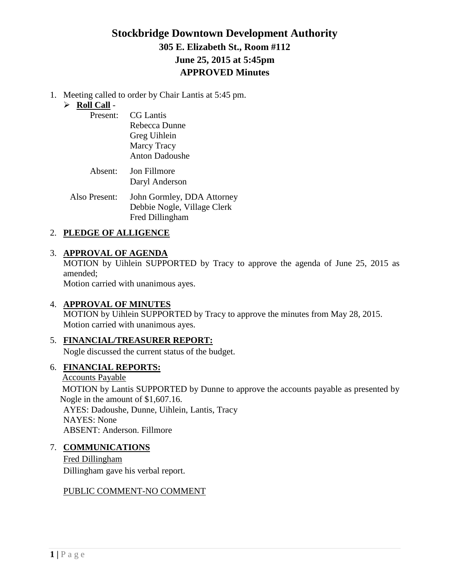# **Stockbridge Downtown Development Authority 305 E. Elizabeth St., Room #112 June 25, 2015 at 5:45pm APPROVED Minutes**

1. Meeting called to order by Chair Lantis at 5:45 pm.

## **Roll Call** -

| Present: | <b>CG</b> Lantis      |
|----------|-----------------------|
|          | Rebecca Dunne         |
|          | Greg Uihlein          |
|          | <b>Marcy Tracy</b>    |
|          | <b>Anton Dadoushe</b> |
| Absent:  | <b>Jon Fillmore</b>   |
|          | Daryl Anderson        |

Also Present: John Gormley, DDA Attorney Debbie Nogle, Village Clerk Fred Dillingham

## 2. **PLEDGE OF ALLIGENCE**

## 3. **APPROVAL OF AGENDA**

MOTION by Uihlein SUPPORTED by Tracy to approve the agenda of June 25, 2015 as amended;

Motion carried with unanimous ayes.

## 4. **APPROVAL OF MINUTES**

MOTION by Uihlein SUPPORTED by Tracy to approve the minutes from May 28, 2015. Motion carried with unanimous ayes.

## 5. **FINANCIAL/TREASURER REPORT:**

Nogle discussed the current status of the budget.

## 6. **FINANCIAL REPORTS:**

Accounts Payable

MOTION by Lantis SUPPORTED by Dunne to approve the accounts payable as presented by Nogle in the amount of \$1,607.16. AYES: Dadoushe, Dunne, Uihlein, Lantis, Tracy NAYES: None ABSENT: Anderson. Fillmore

## 7. **COMMUNICATIONS**

Fred Dillingham Dillingham gave his verbal report.

## PUBLIC COMMENT-NO COMMENT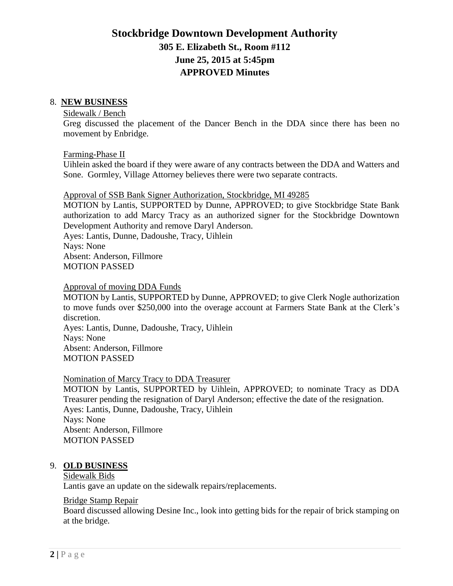# **Stockbridge Downtown Development Authority 305 E. Elizabeth St., Room #112 June 25, 2015 at 5:45pm APPROVED Minutes**

#### 8. **NEW BUSINESS**

#### Sidewalk / Bench

Greg discussed the placement of the Dancer Bench in the DDA since there has been no movement by Enbridge.

Farming-Phase II

Uihlein asked the board if they were aware of any contracts between the DDA and Watters and Sone. Gormley, Village Attorney believes there were two separate contracts.

#### Approval of SSB Bank Signer Authorization, Stockbridge, MI 49285

MOTION by Lantis, SUPPORTED by Dunne, APPROVED; to give Stockbridge State Bank authorization to add Marcy Tracy as an authorized signer for the Stockbridge Downtown Development Authority and remove Daryl Anderson.

Ayes: Lantis, Dunne, Dadoushe, Tracy, Uihlein Nays: None

Absent: Anderson, Fillmore

MOTION PASSED

#### Approval of moving DDA Funds

MOTION by Lantis, SUPPORTED by Dunne, APPROVED; to give Clerk Nogle authorization to move funds over \$250,000 into the overage account at Farmers State Bank at the Clerk's discretion.

Ayes: Lantis, Dunne, Dadoushe, Tracy, Uihlein Nays: None Absent: Anderson, Fillmore MOTION PASSED

### Nomination of Marcy Tracy to DDA Treasurer

MOTION by Lantis, SUPPORTED by Uihlein, APPROVED; to nominate Tracy as DDA Treasurer pending the resignation of Daryl Anderson; effective the date of the resignation. Ayes: Lantis, Dunne, Dadoushe, Tracy, Uihlein Nays: None Absent: Anderson, Fillmore MOTION PASSED

#### 9. **OLD BUSINESS**

#### Sidewalk Bids

Lantis gave an update on the sidewalk repairs/replacements.

#### Bridge Stamp Repair

Board discussed allowing Desine Inc., look into getting bids for the repair of brick stamping on at the bridge.